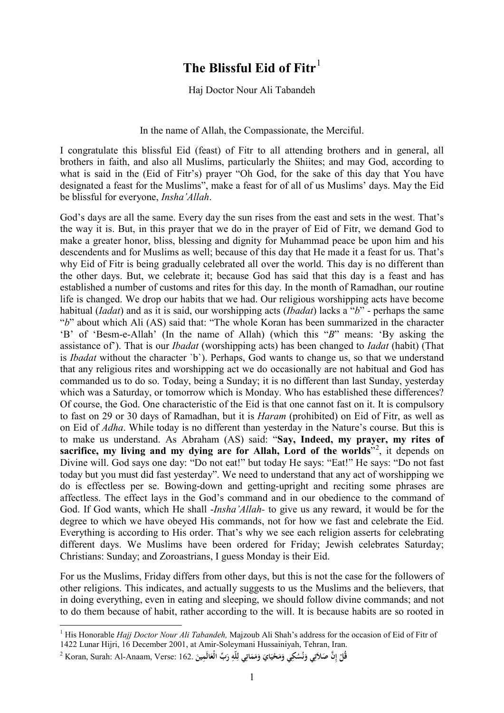## **The Blissful Eid of Fitr**[1](#page-0-0)

## Haj Doctor Nour Ali Tabandeh

## In the name of Allah, the Compassionate, the Merciful.

I congratulate this blissful Eid (feast) of Fitr to all attending brothers and in general, all brothers in faith, and also all Muslims, particularly the Shiites; and may God, according to what is said in the (Eid of Fitr's) prayer "Oh God, for the sake of this day that You have designated a feast for the Muslims", make a feast for of all of us Muslims' days. May the Eid be blissful for everyone, *Insha'Allah*.

God's days are all the same. Every day the sun rises from the east and sets in the west. That's the way it is. But, in this prayer that we do in the prayer of Eid of Fitr, we demand God to make a greater honor, bliss, blessing and dignity for Muhammad peace be upon him and his descendents and for Muslims as well; because of this day that He made it a feast for us. That's why Eid of Fitr is being gradually celebrated all over the world. This day is no different than the other days. But, we celebrate it; because God has said that this day is a feast and has established a number of customs and rites for this day. In the month of Ramadhan, our routine life is changed. We drop our habits that we had. Our religious worshipping acts have become habitual (*Iadat*) and as it is said, our worshipping acts (*Ibadat*) lacks a "*b*" - perhaps the same "*b*" about which Ali (AS) said that: "The whole Koran has been summarized in the character 'B' of 'Besm-e-Allah' (In the name of Allah) (which this "*B*" means: 'By asking the assistance of'). That is our *Ibadat* (worshipping acts) has been changed to *Iadat* (habit) (That is *Ibadat* without the character `b`). Perhaps, God wants to change us, so that we understand that any religious rites and worshipping act we do occasionally are not habitual and God has commanded us to do so. Today, being a Sunday; it is no different than last Sunday, yesterday which was a Saturday, or tomorrow which is Monday. Who has established these differences? Of course, the God. One characteristic of the Eid is that one cannot fast on it. It is compulsory to fast on 29 or 30 days of Ramadhan, but it is *Haram* (prohibited) on Eid of Fitr, as well as on Eid of *Adha*. While today is no different than yesterday in the Nature's course. But this is to make us understand. As Abraham (AS) said: "**Say, Indeed, my prayer, my rites of sacrifice, my living and my dying are for Allah, Lord of the worlds**"[2](#page-0-1) , it depends on Divine will. God says one day: "Do not eat!" but today He says: "Eat!" He says: "Do not fast today but you must did fast yesterday". We need to understand that any act of worshipping we do is effectless per se. Bowing-down and getting-upright and reciting some phrases are affectless. The effect lays in the God's command and in our obedience to the command of God. If God wants, which He shall -*Insha'Allah-* to give us any reward, it would be for the degree to which we have obeyed His commands, not for how we fast and celebrate the Eid. Everything is according to His order. That's why we see each religion asserts for celebrating different days. We Muslims have been ordered for Friday; Jewish celebrates Saturday; Christians: Sunday; and Zoroastrians, I guess Monday is their Eid.

For us the Muslims, Friday differs from other days, but this is not the case for the followers of other religions. This indicates, and actually suggests to us the Muslims and the believers, that in doing everything, even in eating and sleeping, we should follow divine commands; and not to do them because of habit, rather according to the will. It is because habits are so rooted in

 $\overline{\phantom{a}}$ 

<span id="page-0-0"></span><sup>1</sup> His Honorable *Hajj Doctor Nour Ali Tabandeh,* Majzoub Ali Shah's address for the occasion of Eid of Fitr of 1422 Lunar Hijri, 16 December 2001, at Amir-Soleymani Hussainiyah, Tehran, Iran.

<span id="page-0-1"></span>قُلْ إِنَّ صَلاَتِي وَنُسُكِي وَمَحْيَايَ وَمَمَاتِي لِلَّهِ رَبِّ الْعَالَمِينَ .162 :Koran, Surah: Al-Anaam, Verse: 162 **ِ ن َ ت َ**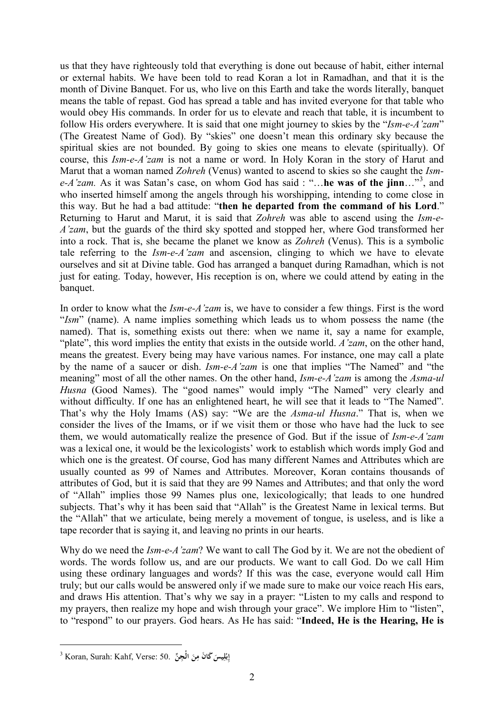us that they have righteously told that everything is done out because of habit, either internal or external habits. We have been told to read Koran a lot in Ramadhan, and that it is the month of Divine Banquet. For us, who live on this Earth and take the words literally, banquet means the table of repast. God has spread a table and has invited everyone for that table who would obey His commands. In order for us to elevate and reach that table, it is incumbent to follow His orders everywhere. It is said that one might journey to skies by the "*Ism-e-A'zam*" (The Greatest Name of God). By "skies" one doesn't mean this ordinary sky because the spiritual skies are not bounded. By going to skies one means to elevate (spiritually). Of course, this *Ism-e-A'zam* is not a name or word. In Holy Koran in the story of Harut and Marut that a woman named *Zohreh* (Venus) wanted to ascend to skies so she caught the *Isme-A'zam.* As it was Satan's case, on whom God has said : "…**he was of the jinn**…"[3](#page-1-0) , and who inserted himself among the angels through his worshipping, intending to come close in this way. But he had a bad attitude: "**then he departed from the command of his Lord**." Returning to Harut and Marut, it is said that *Zohreh* was able to ascend using the *Ism-e-A'zam*, but the guards of the third sky spotted and stopped her, where God transformed her into a rock. That is, she became the planet we know as *Zohreh* (Venus). This is a symbolic tale referring to the *Ism-e-A'zam* and ascension, clinging to which we have to elevate ourselves and sit at Divine table. God has arranged a banquet during Ramadhan, which is not just for eating. Today, however, His reception is on, where we could attend by eating in the banquet.

In order to know what the *Ism-e-A'zam* is, we have to consider a few things. First is the word "*Ism*" (name). A name implies something which leads us to whom possess the name (the named). That is, something exists out there: when we name it, say a name for example, "plate", this word implies the entity that exists in the outside world. *A'zam*, on the other hand, means the greatest. Every being may have various names. For instance, one may call a plate by the name of a saucer or dish. *Ism-e-A'zam* is one that implies "The Named" and "the meaning" most of all the other names. On the other hand, *Ism-e-A'zam* is among the *Asma-ul*  Husna<sup>(Good</sup> Names). The "good names" would imply "The Named" very clearly and without difficulty. If one has an enlightened heart, he will see that it leads to "The Named". That's why the Holy Imams (AS) say: "We are the *Asma-ul Husna*." That is, when we consider the lives of the Imams, or if we visit them or those who have had the luck to see them, we would automatically realize the presence of God. But if the issue of *Ism-e-A'zam* was a lexical one, it would be the lexicologists' work to establish which words imply God and which one is the greatest. Of course, God has many different Names and Attributes which are usually counted as 99 of Names and Attributes. Moreover, Koran contains thousands of attributes of God, but it is said that they are 99 Names and Attributes; and that only the word of "Allah" implies those 99 Names plus one, lexicologically; that leads to one hundred subjects. That's why it has been said that "Allah" is the Greatest Name in lexical terms. But the "Allah" that we articulate, being merely a movement of tongue, is useless, and is like a tape recorder that is saying it, and leaving no prints in our hearts.

Why do we need the *Ism-e-A'zam*? We want to call The God by it. We are not the obedient of words. The words follow us, and are our products. We want to call God. Do we call Him using these ordinary languages and words? If this was the case, everyone would call Him truly; but our calls would be answered only if we made sure to make our voice reach His ears, and draws His attention. That's why we say in a prayer: "Listen to my calls and respond to my prayers, then realize my hope and wish through your grace". We implore Him to "listen", to "respond" to our prayers. God hears. As He has said: "**Indeed, He is the Hearing, He is** 

**.** 

<span id="page-1-0"></span><sup>3</sup> Koran, Surah: Kahf, Verse: 50. **ِّن جْال ِ َ ِن َ َ ك َ ان م ِيس ل ْ ب ِ إ**